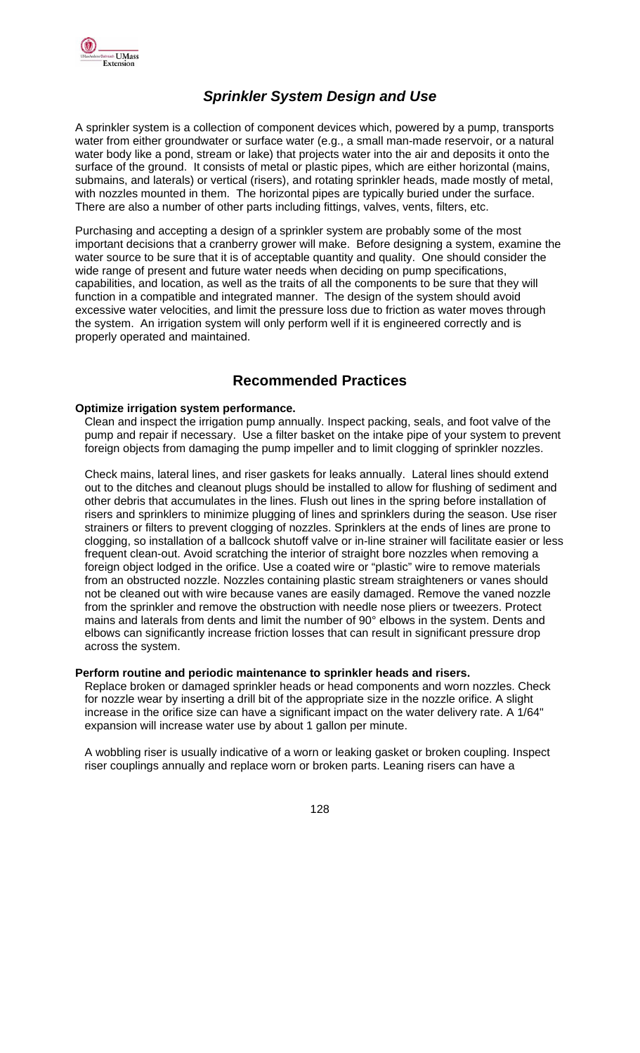

## *Sprinkler System Design and Use*

A sprinkler system is a collection of component devices which, powered by a pump, transports water from either groundwater or surface water (e.g., a small man-made reservoir, or a natural water body like a pond, stream or lake) that projects water into the air and deposits it onto the surface of the ground. It consists of metal or plastic pipes, which are either horizontal (mains, submains, and laterals) or vertical (risers), and rotating sprinkler heads, made mostly of metal, with nozzles mounted in them. The horizontal pipes are typically buried under the surface. There are also a number of other parts including fittings, valves, vents, filters, etc.

Purchasing and accepting a design of a sprinkler system are probably some of the most important decisions that a cranberry grower will make. Before designing a system, examine the water source to be sure that it is of acceptable quantity and quality. One should consider the wide range of present and future water needs when deciding on pump specifications, capabilities, and location, as well as the traits of all the components to be sure that they will function in a compatible and integrated manner. The design of the system should avoid excessive water velocities, and limit the pressure loss due to friction as water moves through the system. An irrigation system will only perform well if it is engineered correctly and is properly operated and maintained.

### **Recommended Practices**

#### **Optimize irrigation system performance.**

Clean and inspect the irrigation pump annually. Inspect packing, seals, and foot valve of the pump and repair if necessary. Use a filter basket on the intake pipe of your system to prevent foreign objects from damaging the pump impeller and to limit clogging of sprinkler nozzles.

Check mains, lateral lines, and riser gaskets for leaks annually. Lateral lines should extend out to the ditches and cleanout plugs should be installed to allow for flushing of sediment and other debris that accumulates in the lines. Flush out lines in the spring before installation of risers and sprinklers to minimize plugging of lines and sprinklers during the season. Use riser strainers or filters to prevent clogging of nozzles. Sprinklers at the ends of lines are prone to clogging, so installation of a ballcock shutoff valve or in-line strainer will facilitate easier or less frequent clean-out. Avoid scratching the interior of straight bore nozzles when removing a foreign object lodged in the orifice. Use a coated wire or "plastic" wire to remove materials from an obstructed nozzle. Nozzles containing plastic stream straighteners or vanes should not be cleaned out with wire because vanes are easily damaged. Remove the vaned nozzle from the sprinkler and remove the obstruction with needle nose pliers or tweezers. Protect mains and laterals from dents and limit the number of 90° elbows in the system. Dents and elbows can significantly increase friction losses that can result in significant pressure drop across the system.

#### **Perform routine and periodic maintenance to sprinkler heads and risers.**

Replace broken or damaged sprinkler heads or head components and worn nozzles. Check for nozzle wear by inserting a drill bit of the appropriate size in the nozzle orifice. A slight increase in the orifice size can have a significant impact on the water delivery rate. A 1/64" expansion will increase water use by about 1 gallon per minute.

A wobbling riser is usually indicative of a worn or leaking gasket or broken coupling. Inspect riser couplings annually and replace worn or broken parts. Leaning risers can have a

128 - 128 - 129 - 129 - 129 - 129 - 129 - 129 - 129 - 129 - 129 - 129 - 129 - 129 - 129 - 129 - 129 - 129 - 12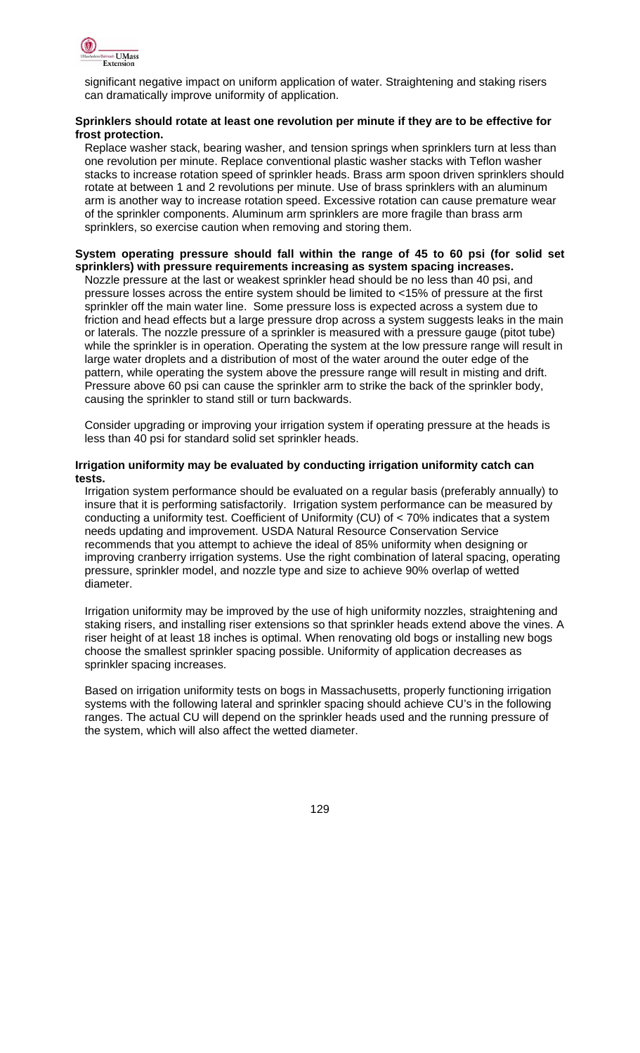

significant negative impact on uniform application of water. Straightening and staking risers can dramatically improve uniformity of application.

#### **Sprinklers should rotate at least one revolution per minute if they are to be effective for frost protection.**

Replace washer stack, bearing washer, and tension springs when sprinklers turn at less than one revolution per minute. Replace conventional plastic washer stacks with Teflon washer stacks to increase rotation speed of sprinkler heads. Brass arm spoon driven sprinklers should rotate at between 1 and 2 revolutions per minute. Use of brass sprinklers with an aluminum arm is another way to increase rotation speed. Excessive rotation can cause premature wear of the sprinkler components. Aluminum arm sprinklers are more fragile than brass arm sprinklers, so exercise caution when removing and storing them.

#### **System operating pressure should fall within the range of 45 to 60 psi (for solid set sprinklers) with pressure requirements increasing as system spacing increases.**

Nozzle pressure at the last or weakest sprinkler head should be no less than 40 psi, and pressure losses across the entire system should be limited to <15% of pressure at the first sprinkler off the main water line. Some pressure loss is expected across a system due to friction and head effects but a large pressure drop across a system suggests leaks in the main or laterals. The nozzle pressure of a sprinkler is measured with a pressure gauge (pitot tube) while the sprinkler is in operation. Operating the system at the low pressure range will result in large water droplets and a distribution of most of the water around the outer edge of the pattern, while operating the system above the pressure range will result in misting and drift. Pressure above 60 psi can cause the sprinkler arm to strike the back of the sprinkler body, causing the sprinkler to stand still or turn backwards.

Consider upgrading or improving your irrigation system if operating pressure at the heads is less than 40 psi for standard solid set sprinkler heads.

#### **Irrigation uniformity may be evaluated by conducting irrigation uniformity catch can tests.**

Irrigation system performance should be evaluated on a regular basis (preferably annually) to insure that it is performing satisfactorily. Irrigation system performance can be measured by conducting a uniformity test. Coefficient of Uniformity (CU) of < 70% indicates that a system needs updating and improvement. USDA Natural Resource Conservation Service recommends that you attempt to achieve the ideal of 85% uniformity when designing or improving cranberry irrigation systems. Use the right combination of lateral spacing, operating pressure, sprinkler model, and nozzle type and size to achieve 90% overlap of wetted diameter.

Irrigation uniformity may be improved by the use of high uniformity nozzles, straightening and staking risers, and installing riser extensions so that sprinkler heads extend above the vines. A riser height of at least 18 inches is optimal. When renovating old bogs or installing new bogs choose the smallest sprinkler spacing possible. Uniformity of application decreases as sprinkler spacing increases.

Based on irrigation uniformity tests on bogs in Massachusetts, properly functioning irrigation systems with the following lateral and sprinkler spacing should achieve CU's in the following ranges. The actual CU will depend on the sprinkler heads used and the running pressure of the system, which will also affect the wetted diameter.

<u>129 - John Stein, Amerikaansk politiker (</u>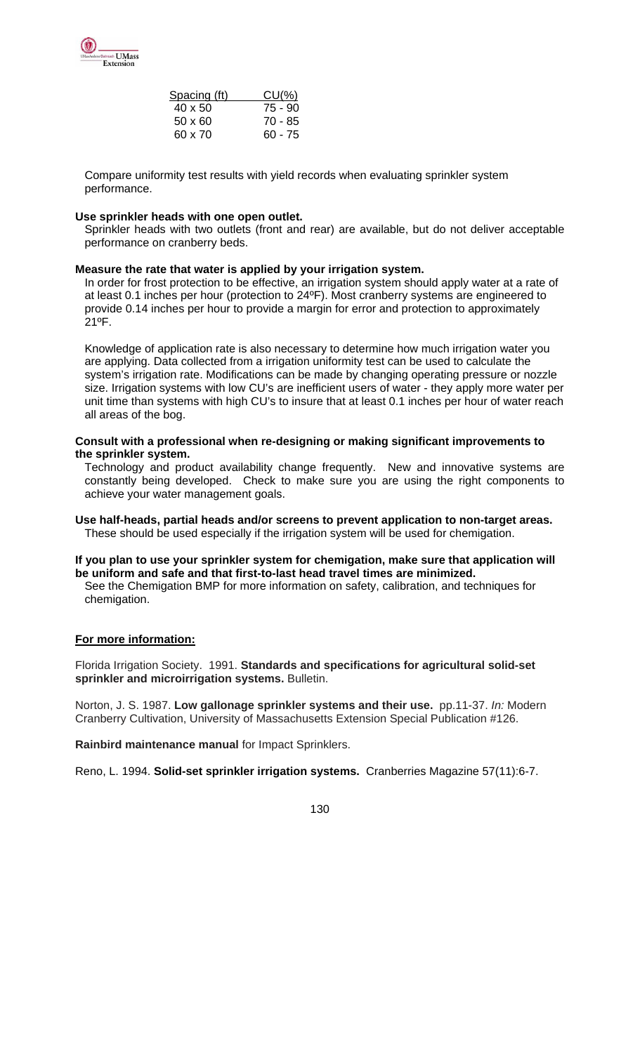

| Spacing (ft)   | $CU(\%)$  |
|----------------|-----------|
| $40 \times 50$ | 75 - 90   |
| $50 \times 60$ | 70 - 85   |
| 60 x 70        | $60 - 75$ |

Compare uniformity test results with yield records when evaluating sprinkler system performance.

#### **Use sprinkler heads with one open outlet.**

Sprinkler heads with two outlets (front and rear) are available, but do not deliver acceptable performance on cranberry beds.

#### **Measure the rate that water is applied by your irrigation system.**

In order for frost protection to be effective, an irrigation system should apply water at a rate of at least 0.1 inches per hour (protection to 24ºF). Most cranberry systems are engineered to provide 0.14 inches per hour to provide a margin for error and protection to approximately 21ºF.

Knowledge of application rate is also necessary to determine how much irrigation water you are applying. Data collected from a irrigation uniformity test can be used to calculate the system's irrigation rate. Modifications can be made by changing operating pressure or nozzle size. Irrigation systems with low CU's are inefficient users of water - they apply more water per unit time than systems with high CU's to insure that at least 0.1 inches per hour of water reach all areas of the bog.

#### **Consult with a professional when re-designing or making significant improvements to the sprinkler system.**

Technology and product availability change frequently. New and innovative systems are constantly being developed. Check to make sure you are using the right components to achieve your water management goals.

#### **Use half-heads, partial heads and/or screens to prevent application to non-target areas.**  These should be used especially if the irrigation system will be used for chemigation.

#### **If you plan to use your sprinkler system for chemigation, make sure that application will be uniform and safe and that first-to-last head travel times are minimized.**

See the Chemigation BMP for more information on safety, calibration, and techniques for chemigation.

#### **For more information:**

Florida Irrigation Society. 1991. **Standards and specifications for agricultural solid-set sprinkler and microirrigation systems.** Bulletin.

Norton, J. S. 1987. **Low gallonage sprinkler systems and their use.** pp.11-37. *In:* Modern Cranberry Cultivation, University of Massachusetts Extension Special Publication #126.

**Rainbird maintenance manual** for Impact Sprinklers.

Reno, L. 1994. **Solid-set sprinkler irrigation systems.** Cranberries Magazine 57(11):6-7.

130 and 130 and 130 and 130 and 130 and 130 and 130 and 130 and 130 and 130 and 130 and 130 and 130 and 130 an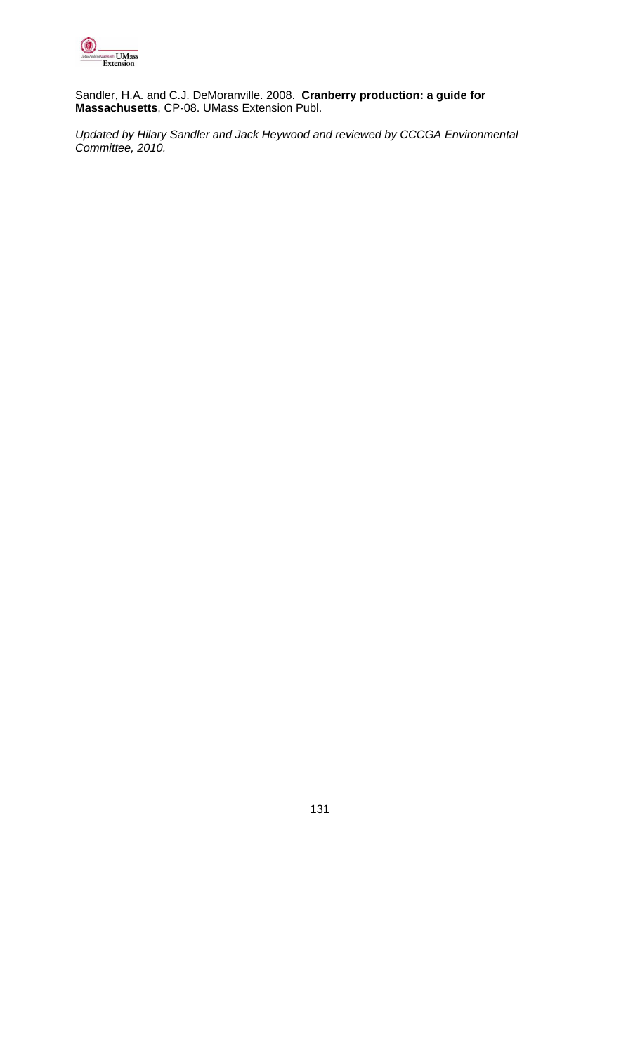

Sandler, H.A. and C.J. DeMoranville. 2008. **Cranberry production: a guide for Massachusetts**, CP-08. UMass Extension Publ.

*Updated by Hilary Sandler and Jack Heywood and reviewed by CCCGA Environmental Committee, 2010.* 

131 - <u>131 - 132 - 133 - 134 - 135 - 136 - 137 - 13</u>7